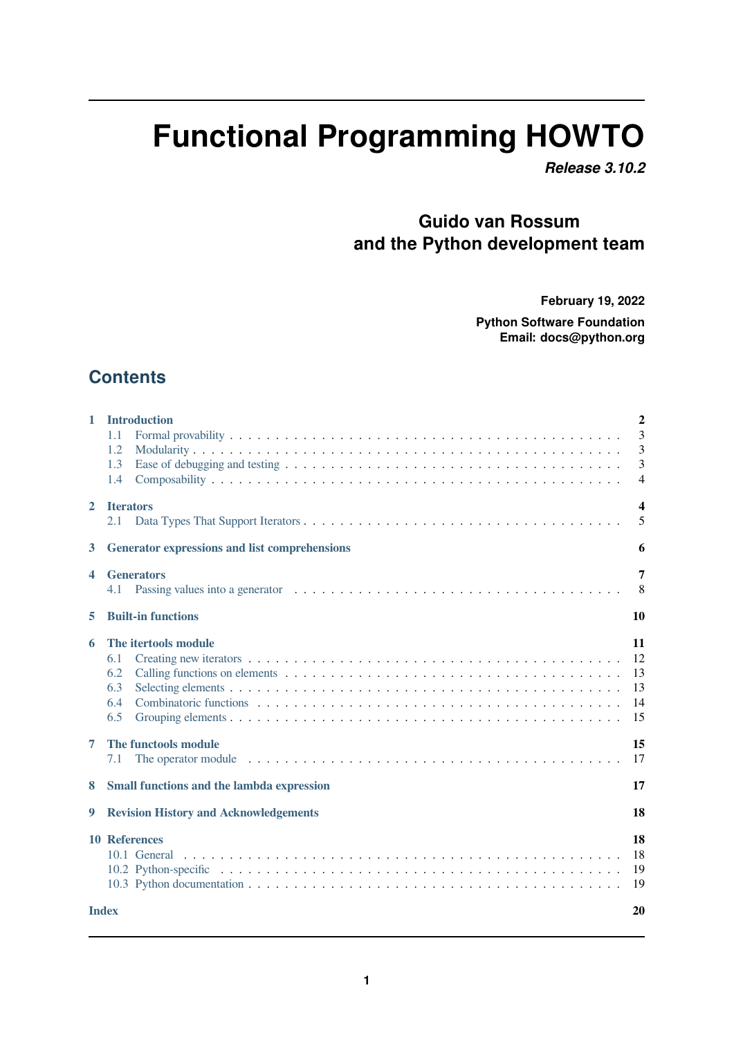# **Functional Programming HOWTO**

*Release 3.10.2*

# **Guido van Rossum and the Python development team**

**February 19, 2022**

**Python Software Foundation Email: docs@python.org**

# **Contents**

| 1            | <b>Introduction</b><br>1.1<br>1.2<br>1.3<br>1.4                                                                                                                                                                                                               | $\overline{2}$<br>3<br>3<br>3<br>$\overline{4}$ |  |
|--------------|---------------------------------------------------------------------------------------------------------------------------------------------------------------------------------------------------------------------------------------------------------------|-------------------------------------------------|--|
| $\mathbf{2}$ | <b>Iterators</b><br>2.1                                                                                                                                                                                                                                       | $\overline{\mathbf{4}}$<br>5                    |  |
| 3            | <b>Generator expressions and list comprehensions</b>                                                                                                                                                                                                          | 6                                               |  |
| 4            | <b>Generators</b><br>4.1                                                                                                                                                                                                                                      | 7<br>8                                          |  |
| 5            | <b>Built-in functions</b>                                                                                                                                                                                                                                     | 10                                              |  |
| 6            | The itertools module<br>6.1<br>6.2<br>6.3<br>6.4<br>6.5                                                                                                                                                                                                       | 11<br>12<br>13<br>13<br>14<br>15                |  |
| 7            | The functools module<br>The operator module enterprise in the set of the set of the set of the set of the set of the set of the set of the set of the set of the set of the set of the set of the set of the set of the set of the set of the set of t<br>7.1 | 15<br>17                                        |  |
| 8            | <b>Small functions and the lambda expression</b>                                                                                                                                                                                                              | 17                                              |  |
| 9            | <b>Revision History and Acknowledgements</b>                                                                                                                                                                                                                  | 18                                              |  |
|              | <b>10 References</b><br>10.1 General                                                                                                                                                                                                                          | 18<br>18<br>19<br>19                            |  |
|              | <b>Index</b><br>20                                                                                                                                                                                                                                            |                                                 |  |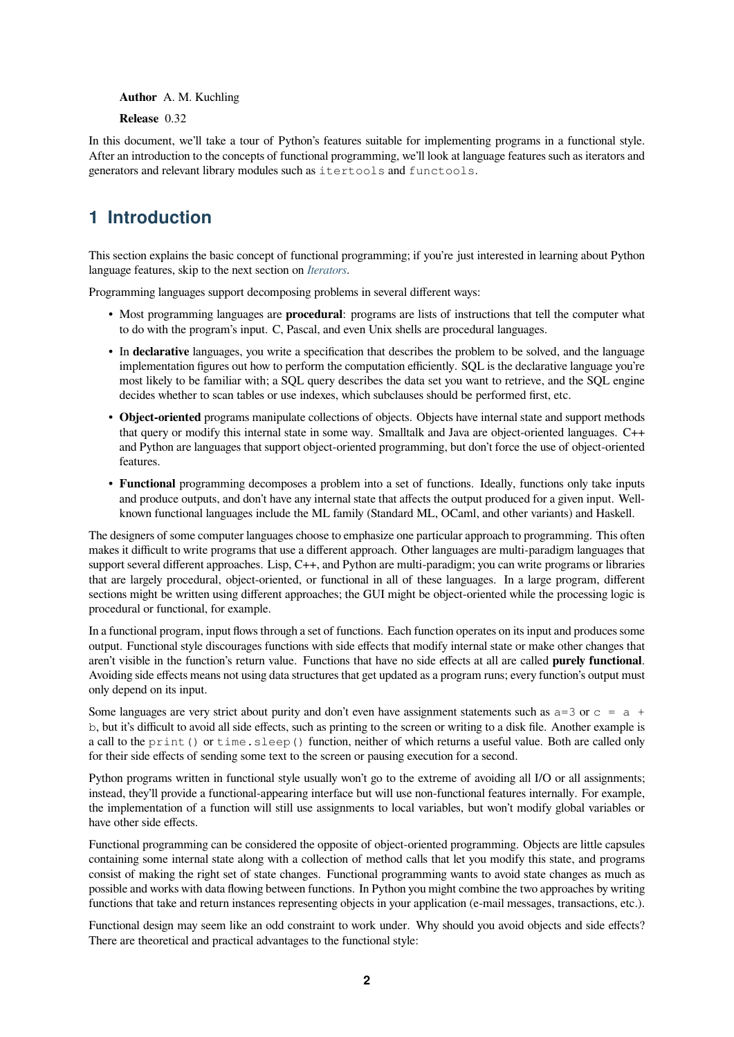**Author** A. M. Kuchling

**Release** 0.32

In this document, we'll take a tour of Python's features suitable for implementing programs in a functional style. After an introduction to the concepts of functional programming, we'll look at language features such as iterators and generators and relevant library modules such as itertools and functools.

# **1 Introduction**

<span id="page-1-0"></span>This section explains the basic concept of functional programming; if you're just interested in learning about Python language features, skip to the next section on *Iterators*.

Programming languages support decomposing problems in several different ways:

- Most programming languages are **procedural**: programs are lists of instructions that tell the computer what to do with the program's input. C, Pas[cal, and e](#page-3-1)ven Unix shells are procedural languages.
- In **declarative** languages, you write a specification that describes the problem to be solved, and the language implementation figures out how to perform the computation efficiently. SQL is the declarative language you're most likely to be familiar with; a SQL query describes the data set you want to retrieve, and the SQL engine decides whether to scan tables or use indexes, which subclauses should be performed first, etc.
- **Object-oriented** programs manipulate collections of objects. Objects have internal state and support methods that query or modify this internal state in some way. Smalltalk and Java are object-oriented languages. C++ and Python are languages that support object-oriented programming, but don't force the use of object-oriented features.
- **Functional** programming decomposes a problem into a set of functions. Ideally, functions only take inputs and produce outputs, and don't have any internal state that affects the output produced for a given input. Wellknown functional languages include the ML family (Standard ML, OCaml, and other variants) and Haskell.

The designers of some computer languages choose to emphasize one particular approach to programming. This often makes it difficult to write programs that use a different approach. Other languages are multi-paradigm languages that support several different approaches. Lisp, C++, and Python are multi-paradigm; you can write programs or libraries that are largely procedural, object-oriented, or functional in all of these languages. In a large program, different sections might be written using different approaches; the GUI might be object-oriented while the processing logic is procedural or functional, for example.

In a functional program, input flows through a set of functions. Each function operates on its input and produces some output. Functional style discourages functions with side effects that modify internal state or make other changes that aren't visible in the function's return value. Functions that have no side effects at all are called **purely functional**. Avoiding side effects means not using data structures that get updated as a program runs; every function's output must only depend on its input.

Some languages are very strict about purity and don't even have assignment statements such as  $a=3$  or  $c = a +$ b, but it's difficult to avoid all side effects, such as printing to the screen or writing to a disk file. Another example is a call to the print() or time. sleep() function, neither of which returns a useful value. Both are called only for their side effects of sending some text to the screen or pausing execution for a second.

Python programs written in functional style usually won't go to the extreme of avoiding all I/O or all assignments; instead, they'll provide a functional-appearing interface but will use non-functional features internally. For example, the implementation of a function will still use assignments to local variables, but won't modify global variables or have other side effects.

Functional programming can be considered the opposite of object-oriented programming. Objects are little capsules containing some internal state along with a collection of method calls that let you modify this state, and programs consist of making the right set of state changes. Functional programming wants to avoid state changes as much as possible and works with data flowing between functions. In Python you might combine the two approaches by writing functions that take and return instances representing objects in your application (e-mail messages, transactions, etc.).

Functional design may seem like an odd constraint to work under. Why should you avoid objects and side effects? There are theoretical and practical advantages to the functional style: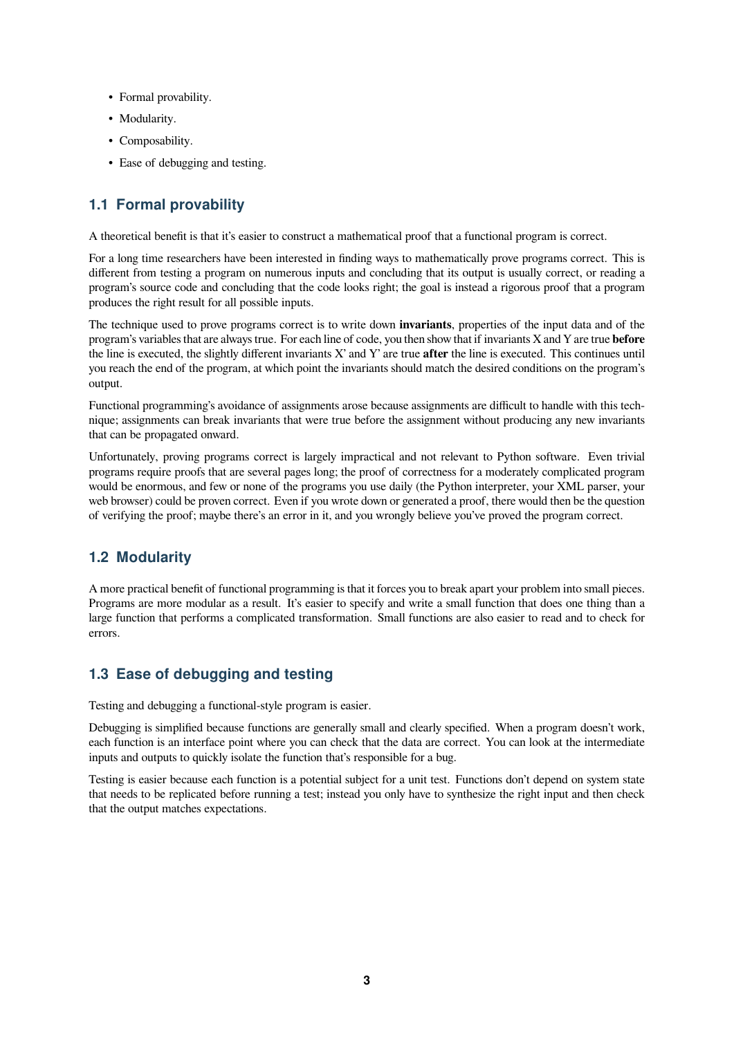- Formal provability.
- Modularity.
- Composability.
- Ease of debugging and testing.

# <span id="page-2-0"></span>**1.1 Formal provability**

A theoretical benefit is that it's easier to construct a mathematical proof that a functional program is correct.

For a long time researchers have been interested in finding ways to mathematically prove programs correct. This is different from testing a program on numerous inputs and concluding that its output is usually correct, or reading a program's source code and concluding that the code looks right; the goal is instead a rigorous proof that a program produces the right result for all possible inputs.

The technique used to prove programs correct is to write down **invariants**, properties of the input data and of the program's variables that are always true. For each line of code, you then show that if invariants X and Y are true **before** the line is executed, the slightly different invariants X' and Y' are true **after** the line is executed. This continues until you reach the end of the program, at which point the invariants should match the desired conditions on the program's output.

Functional programming's avoidance of assignments arose because assignments are difficult to handle with this technique; assignments can break invariants that were true before the assignment without producing any new invariants that can be propagated onward.

Unfortunately, proving programs correct is largely impractical and not relevant to Python software. Even trivial programs require proofs that are several pages long; the proof of correctness for a moderately complicated program would be enormous, and few or none of the programs you use daily (the Python interpreter, your XML parser, your web browser) could be proven correct. Even if you wrote down or generated a proof, there would then be the question of verifying the proof; maybe there's an error in it, and you wrongly believe you've proved the program correct.

# <span id="page-2-1"></span>**1.2 Modularity**

A more practical benefit of functional programming is that it forces you to break apart your problem into small pieces. Programs are more modular as a result. It's easier to specify and write a small function that does one thing than a large function that performs a complicated transformation. Small functions are also easier to read and to check for errors.

# <span id="page-2-2"></span>**1.3 Ease of debugging and testing**

Testing and debugging a functional-style program is easier.

Debugging is simplified because functions are generally small and clearly specified. When a program doesn't work, each function is an interface point where you can check that the data are correct. You can look at the intermediate inputs and outputs to quickly isolate the function that's responsible for a bug.

Testing is easier because each function is a potential subject for a unit test. Functions don't depend on system state that needs to be replicated before running a test; instead you only have to synthesize the right input and then check that the output matches expectations.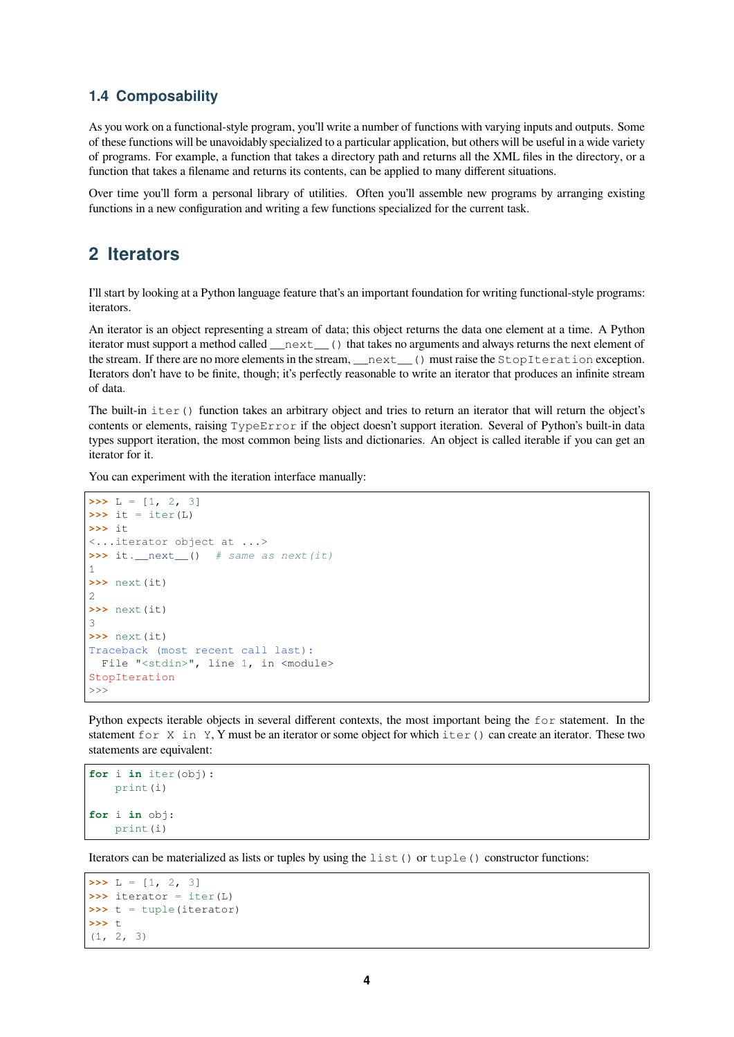#### <span id="page-3-0"></span>**1.4 Composability**

As you work on a functional-style program, you'll write a number of functions with varying inputs and outputs. Some of these functions will be unavoidably specialized to a particular application, but others will be useful in a wide variety of programs. For example, a function that takes a directory path and returns all the XML files in the directory, or a function that takes a filename and returns its contents, can be applied to many different situations.

Over time you'll form a personal library of utilities. Often you'll assemble new programs by arranging existing functions in a new configuration and writing a few functions specialized for the current task.

# <span id="page-3-1"></span>**2 Iterators**

I'll start by looking at a Python language feature that's an important foundation for writing functional-style programs: iterators.

An iterator is an object representing a stream of data; this object returns the data one element at a time. A Python iterator must support a method called \_\_next\_\_() that takes no arguments and always returns the next element of the stream. If there are no more elements in the stream, \_\_next\_\_() must raise the StopIteration exception. Iterators don't have to be finite, though; it's perfectly reasonable to write an iterator that produces an infinite stream of data.

The built-in iter() function takes an arbitrary object and tries to return an iterator that will return the object's contents or elements, raising TypeError if the object doesn't support iteration. Several of Python's built-in data types support iteration, the most common being lists and dictionaries. An object is called iterable if you can get an iterator for it.

You can experiment with the iteration interface manually:

```
\Rightarrow L = [1, 2, 3]
\Rightarrow \Rightarrow it = iter(L)>>> it
<...iterator object at ...>
>>> it.__next__() # same as next(it)
1
>>> next(it)
\mathfrak{D}>>> next(it)
3
>>> next(it)
Traceback (most recent call last):
 File "<stdin>", line 1, in <module>
StopIteration
>>>
```
Python expects iterable objects in several different contexts, the most important being the  $f \circ r$  statement. In the statement for  $X$  in Y, Y must be an iterator or some object for which iter() can create an iterator. These two statements are equivalent:

```
for i in iter(obj):
    print(i)
for i in obj:
    print(i)
```
Iterators can be materialized as lists or tuples by using the  $list()$  or  $tuple()$  constructor functions:

```
\Rightarrow L = [1, 2, 3]
>>> iterator = iter(L)
>>> t = tuple(iterator)
>>> t
(1, 2, 3)
```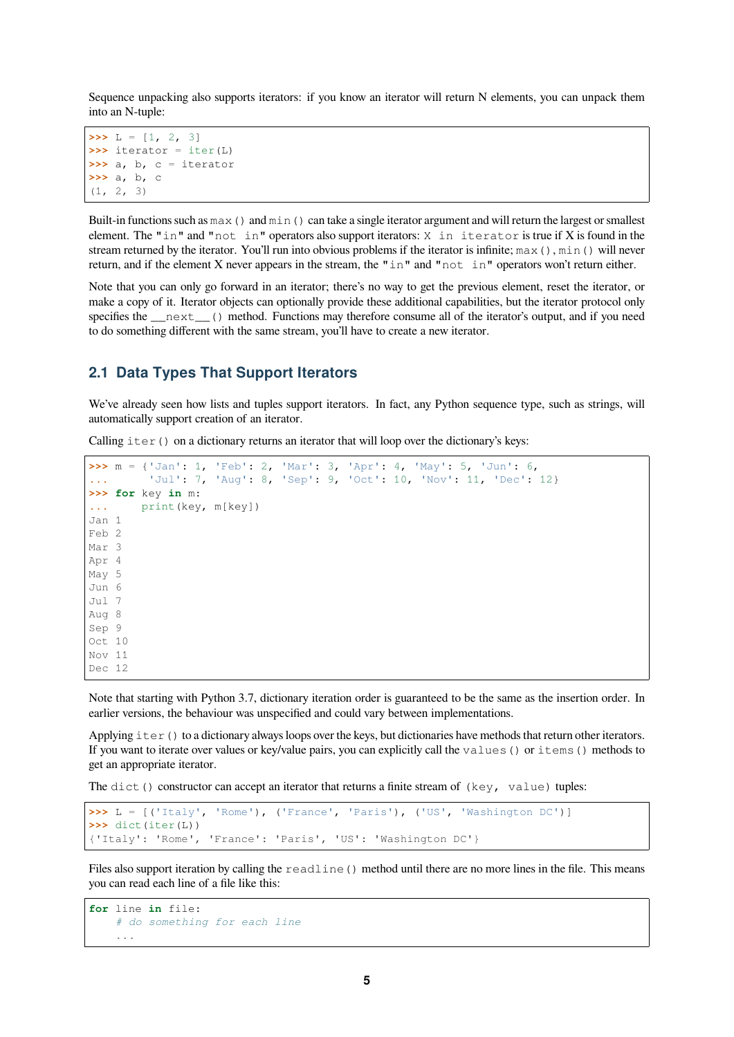Sequence unpacking also supports iterators: if you know an iterator will return N elements, you can unpack them into an N-tuple:

```
\Rightarrow L = [1, 2, 3]
>>> iterator = iter(L)
>>> a, b, c = iterator
>>> a, b, c
(1, 2, 3)
```
Built-in functions such as  $\max$  () and  $\min$  () can take a single iterator argument and will return the largest or smallest element. The "in" and "not in" operators also support iterators: X in iterator is true if X is found in the stream returned by the iterator. You'll run into obvious problems if the iterator is infinite;  $max($ ),  $min($ ) will never return, and if the element X never appears in the stream, the "in" and "not in" operators won't return either.

Note that you can only go forward in an iterator; there's no way to get the previous element, reset the iterator, or make a copy of it. Iterator objects can optionally provide these additional capabilities, but the iterator protocol only specifies the \_\_next\_\_() method. Functions may therefore consume all of the iterator's output, and if you need to do something different with the same stream, you'll have to create a new iterator.

#### <span id="page-4-0"></span>**2.1 Data Types That Support Iterators**

We've already seen how lists and tuples support iterators. In fact, any Python sequence type, such as strings, will automatically support creation of an iterator.

Calling  $iter()$  on a dictionary returns an iterator that will loop over the dictionary's keys:

```
>>> m = {'Jan': 1, 'Feb': 2, 'Mar': 3, 'Apr': 4, 'May': 5, 'Jun': 6,
... 'Jul': 7, 'Aug': 8, 'Sep': 9, 'Oct': 10, 'Nov': 11, 'Dec': 12}
>>> for key in m:
... print(key, m[key])
Jan 1
Feb 2
Mar 3
Apr 4
May 5
Jun 6
Jul 7
Aug 8
Sep 9
Oct 10
Nov 11
Dec 12
```
Note that starting with Python 3.7, dictionary iteration order is guaranteed to be the same as the insertion order. In earlier versions, the behaviour was unspecified and could vary between implementations.

Applying  $iter()$  to a dictionary always loops over the keys, but dictionaries have methods that return other iterators. If you want to iterate over values or key/value pairs, you can explicitly call the values() or items() methods to get an appropriate iterator.

The dict() constructor can accept an iterator that returns a finite stream of  $(key, value)$  tuples:

```
>>> L = [('Italy', 'Rome'), ('France', 'Paris'), ('US', 'Washington DC')]
>>> dict(iter(L))
{'Italy': 'Rome', 'France': 'Paris', 'US': 'Washington DC'}
```
Files also support iteration by calling the readline () method until there are no more lines in the file. This means you can read each line of a file like this:

```
for line in file:
    # do something for each line
    ...
```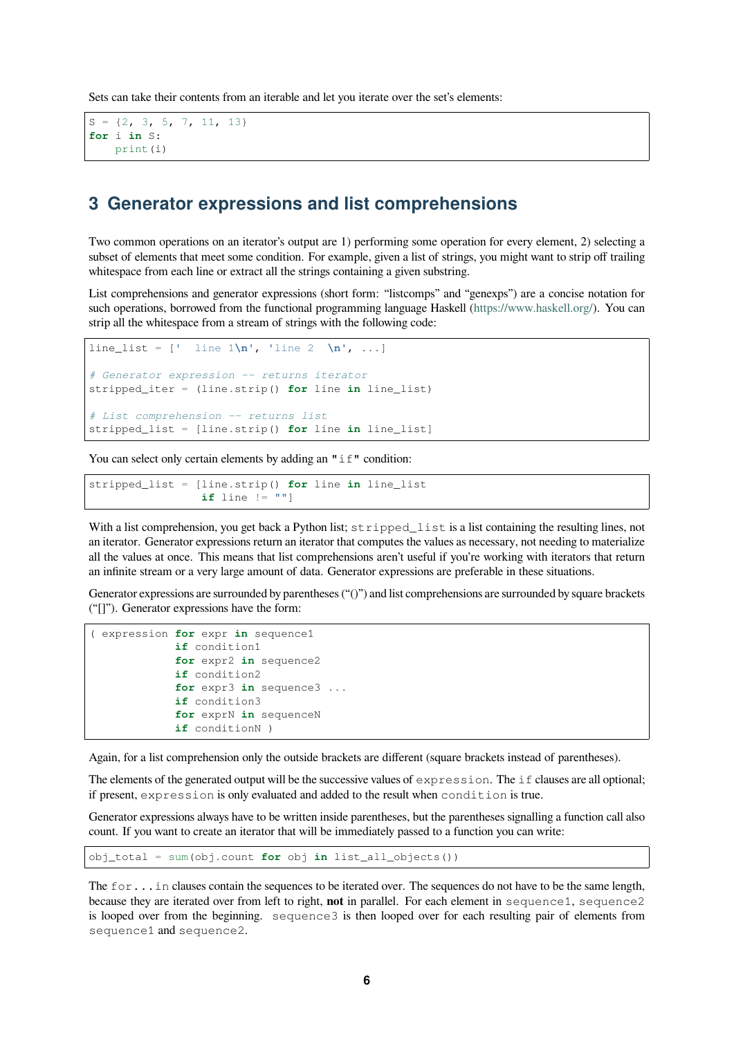Sets can take their contents from an iterable and let you iterate over the set's elements:

```
S = \{2, 3, 5, 7, 11, 13\}for i in S:
   print(i)
```
# **3 Generator expressions and list comprehensions**

<span id="page-5-0"></span>Two common operations on an iterator's output are 1) performing some operation for every element, 2) selecting a subset of elements that meet some condition. For example, given a list of strings, you might want to strip off trailing whitespace from each line or extract all the strings containing a given substring.

List comprehensions and generator expressions (short form: "listcomps" and "genexps") are a concise notation for such operations, borrowed from the functional programming language Haskell (https://www.haskell.org/). You can strip all the whitespace from a stream of strings with the following code:

```
line_list = [' line 1\n\n\cdot \cdot \cdot ] line 2 \n\cdot \cdot \cdot ]# Generator expression -- returns iterator
stripped_iter = (line.strip() for line in line_list)
# List comprehension -- returns list
stripped_list = [line.strip() for line in line_list]
```
You can select only certain elements by adding an  $"$  if" condition:

stripped\_list = [line.strip() **for** line **in** line\_list **if** line  $!=$   $"$ "]

With a list comprehension, you get back a Python list; stripped\_list is a list containing the resulting lines, not an iterator. Generator expressions return an iterator that computes the values as necessary, not needing to materialize all the values at once. This means that list comprehensions aren't useful if you're working with iterators that return an infinite stream or a very large amount of data. Generator expressions are preferable in these situations.

Generator expressions are surrounded by parentheses ("()") and list comprehensions are surrounded by square brackets ("[]"). Generator expressions have the form:

```
( expression for expr in sequence1
            if condition1
            for expr2 in sequence2
            if condition2
            for expr3 in sequence3 ...
            if condition3
            for exprN in sequenceN
            if conditionN )
```
Again, for a list comprehension only the outside brackets are different (square brackets instead of parentheses).

The elements of the generated output will be the successive values of expression. The if clauses are all optional; if present, expression is only evaluated and added to the result when condition is true.

Generator expressions always have to be written inside parentheses, but the parentheses signalling a function call also count. If you want to create an iterator that will be immediately passed to a function you can write:

obj\_total = sum(obj.count **for** obj **in** list\_all\_objects())

The for... in clauses contain the sequences to be iterated over. The sequences do not have to be the same length, because they are iterated over from left to right, **not** in parallel. For each element in sequence1, sequence2 is looped over from the beginning. sequence3 is then looped over for each resulting pair of elements from sequence1 and sequence2.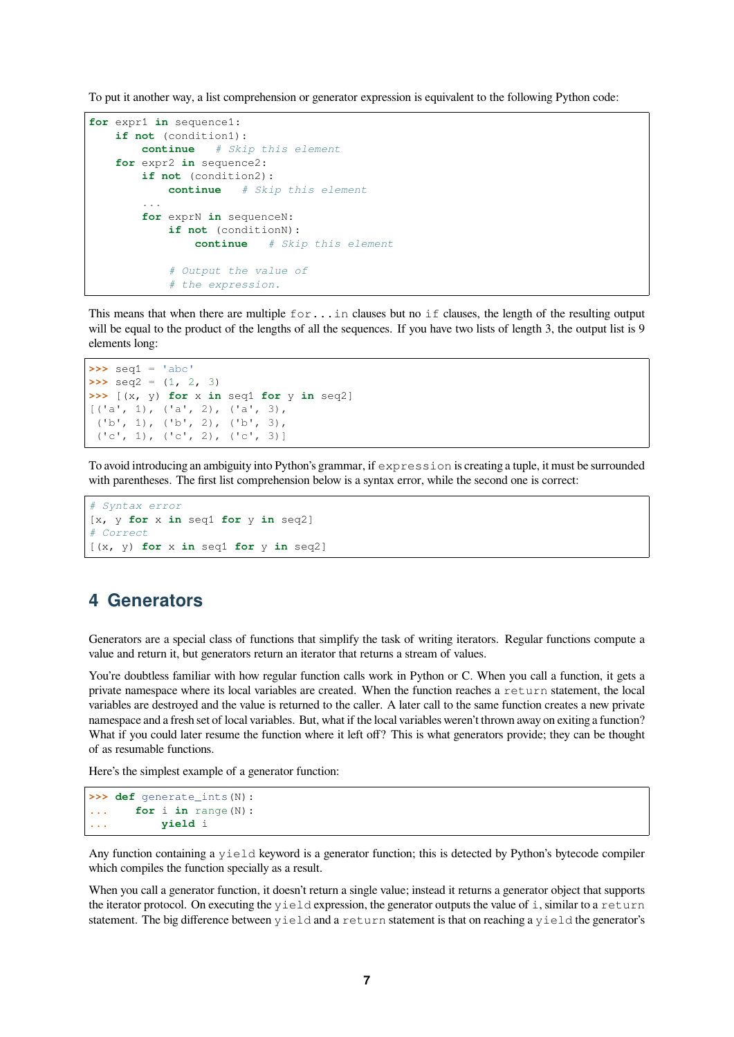To put it another way, a list comprehension or generator expression is equivalent to the following Python code:

```
for expr1 in sequence1:
   if not (condition1):
       continue # Skip this element
   for expr2 in sequence2:
       if not (condition2):
           continue # Skip this element
        ...
        for exprN in sequenceN:
           if not (conditionN):
               continue # Skip this element
            # Output the value of
            # the expression.
```
This means that when there are multiple for...in clauses but no if clauses, the length of the resulting output will be equal to the product of the lengths of all the sequences. If you have two lists of length 3, the output list is 9 elements long:

```
\Rightarrow \text{seq1} = 'abc'>>> seq2 = (1, 2, 3)
>>> [(x, y) for x in seq1 for y in seq2]
[(d', 1), (d', 2), (d', 3),('b', 1), ('b', 2), ('b', 3),
 ('c', 1), ('c', 2), ('c', 3)]
```
To avoid introducing an ambiguity into Python's grammar, if expression is creating a tuple, it must be surrounded with parentheses. The first list comprehension below is a syntax error, while the second one is correct:

```
# Syntax error
[x, y for x in seq1 for y in seq2]
# Correct
[(x, y) for x in seq1 for y in seq2]
```
# <span id="page-6-0"></span>**4 Generators**

Generators are a special class of functions that simplify the task of writing iterators. Regular functions compute a value and return it, but generators return an iterator that returns a stream of values.

You're doubtless familiar with how regular function calls work in Python or C. When you call a function, it gets a private namespace where its local variables are created. When the function reaches a return statement, the local variables are destroyed and the value is returned to the caller. A later call to the same function creates a new private namespace and a fresh set of local variables. But, what if the local variables weren't thrown away on exiting a function? What if you could later resume the function where it left off? This is what generators provide; they can be thought of as resumable functions.

Here's the simplest example of a generator function:

```
>>> def generate_ints(N):
... for i in range(N):
... yield i
```
Any function containing a yield keyword is a generator function; this is detected by Python's bytecode compiler which compiles the function specially as a result.

When you call a generator function, it doesn't return a single value; instead it returns a generator object that supports the iterator protocol. On executing the  $y$ ield expression, the generator outputs the value of i, similar to a return statement. The big difference between yield and a return statement is that on reaching a yield the generator's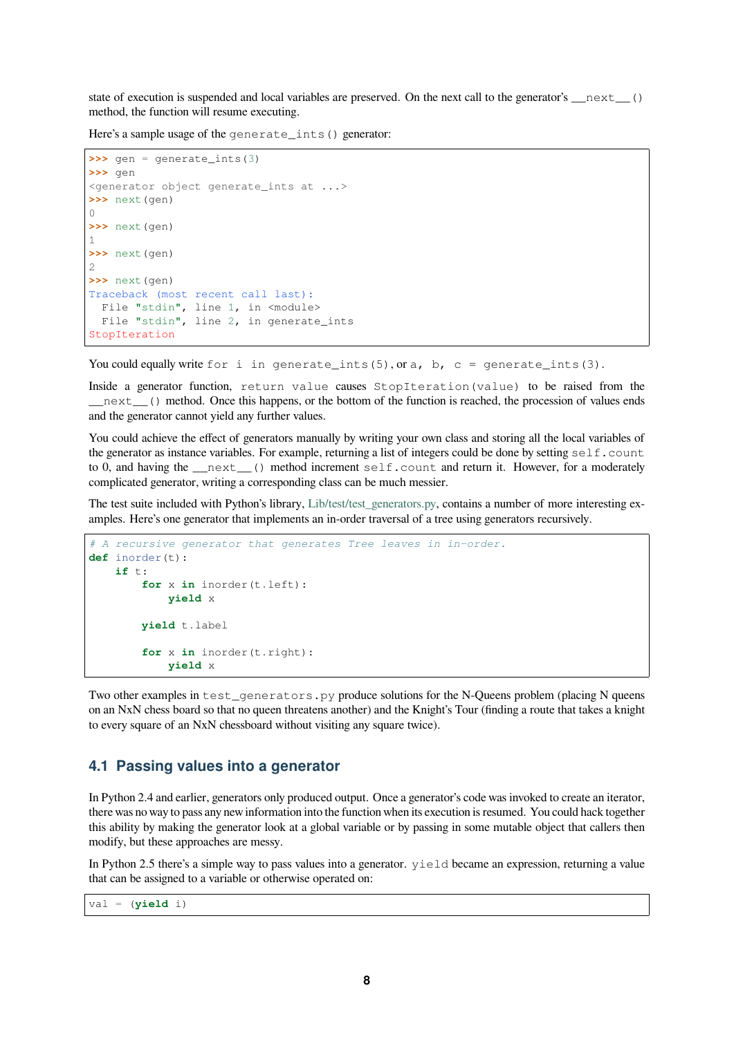state of execution is suspended and local variables are preserved. On the next call to the generator's  $\left( \right)$ method, the function will resume executing.

Here's a sample usage of the generate\_ints() generator:

```
\Rightarrow \Rightarrow \theta qenerate ints(3)
>>> gen
<generator object generate_ints at ...>
>>> next(gen)
0
>>> next(gen)
1
>>> next(gen)
2
>>> next(gen)
Traceback (most recent call last):
  File "stdin", line 1, in <module>
  File "stdin", line 2, in generate_ints
StopIteration
```
You could equally write for i in generate\_ints(5), or a, b, c = generate\_ints(3).

Inside a generator function, return value causes StopIteration(value) to be raised from the \_\_next\_\_() method. Once this happens, or the bottom of the function is reached, the procession of values ends and the generator cannot yield any further values.

You could achieve the effect of generators manually by writing your own class and storing all the local variables of the generator as instance variables. For example, returning a list of integers could be done by setting  $self.count$ to 0, and having the *\_\_next\_\_()* method increment self.count and return it. However, for a moderately complicated generator, writing a corresponding class can be much messier.

The test suite included with Python's library, Lib/test/test\_generators.py, contains a number of more interesting examples. Here's one generator that implements an in-order traversal of a tree using generators recursively.

```
# A recursive generator that generates Tree leaves in in-order.
def inorder(t):
   if t:
        for x in inorder(t.left):
            yield x
        yield t.label
        for x in inorder(t.right):
            yield x
```
Two other examples in test generators. py produce solutions for the N-Queens problem (placing N queens on an NxN chess board so that no queen threatens another) and the Knight's Tour (finding a route that takes a knight to every square of an NxN chessboard without visiting any square twice).

#### **4.1 Passing values into a generator**

<span id="page-7-0"></span>In Python 2.4 and earlier, generators only produced output. Once a generator's code was invoked to create an iterator, there was no way to pass any new information into the function when its execution is resumed. You could hack together this ability by making the generator look at a global variable or by passing in some mutable object that callers then modify, but these approaches are messy.

In Python 2.5 there's a simple way to pass values into a generator.  $y$ ield became an expression, returning a value that can be assigned to a variable or otherwise operated on:

val = (**yield** i)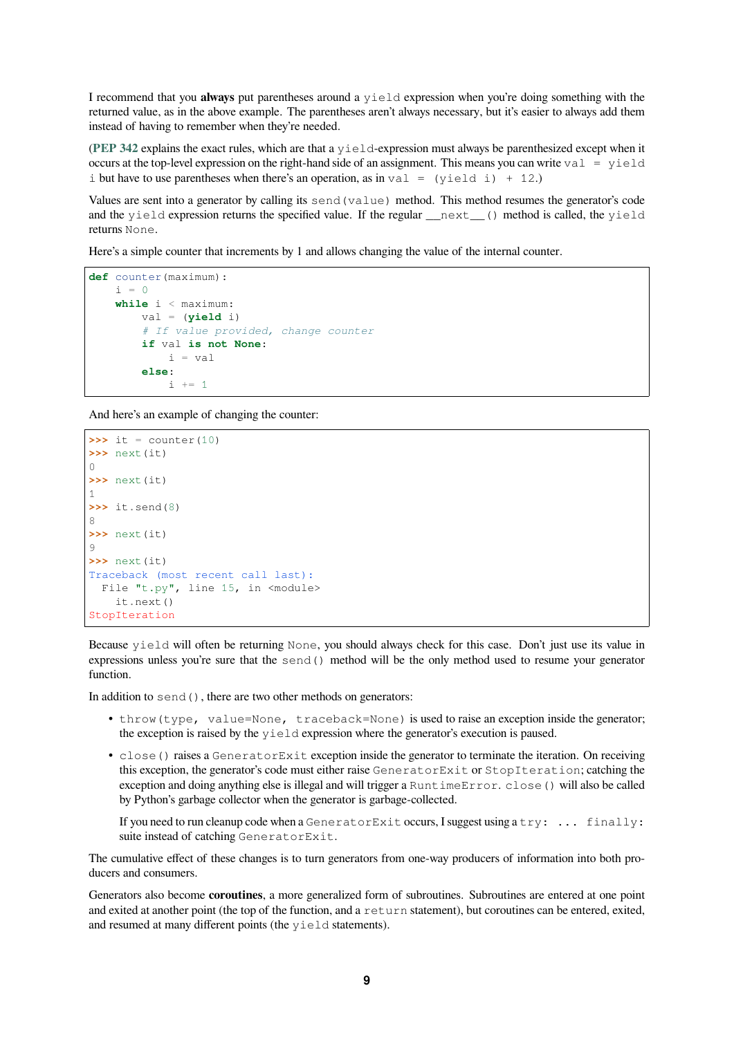I recommend that you **always** put parentheses around a yield expression when you're doing something with the returned value, as in the above example. The parentheses aren't always necessary, but it's easier to always add them instead of having to remember when they're needed.

(**PEP 342** explains the exact rules, which are that a yield-expression must always be parenthesized except when it occurs at the top-level expression on the right-hand side of an assignment. This means you can write  $val = yield$ i but have to use parentheses when there's an operation, as in val =  $(yield i) + 12$ .)

Values are sent into a generator by calling its send(value) method. This method resumes the generator's code [and the](https://www.python.org/dev/peps/pep-0342) yield expression returns the specified value. If the regular \_\_next\_\_() method is called, the yield returns None.

Here's a simple counter that increments by 1 and allows changing the value of the internal counter.

```
def counter(maximum):
    i = 0while i < maximum:
       val = (yield i)
        # If value provided, change counter
        if val is not None:
           i = valelse:
            i + = 1
```
And here's an example of changing the counter:

```
\Rightarrow it = counter(10)
>>> next(it)
\cap>>> next(it)
1
>>> it.send(8)
8
>>> next(it)
\circ>>> next(it)
Traceback (most recent call last):
  File "t.py", line 15, in <module>
    it.next()
StopIteration
```
Because yield will often be returning None, you should always check for this case. Don't just use its value in expressions unless you're sure that the send() method will be the only method used to resume your generator function.

In addition to send(), there are two other methods on generators:

- throw(type, value=None, traceback=None) is used to raise an exception inside the generator; the exception is raised by the yield expression where the generator's execution is paused.
- close () raises a GeneratorExit exception inside the generator to terminate the iteration. On receiving this exception, the generator's code must either raise GeneratorExit or StopIteration; catching the exception and doing anything else is illegal and will trigger a RuntimeError. close() will also be called by Python's garbage collector when the generator is garbage-collected.

If you need to run cleanup code when a Generator Exit occurs, I suggest using a try: ... finally: suite instead of catching GeneratorExit.

The cumulative effect of these changes is to turn generators from one-way producers of information into both producers and consumers.

Generators also become **coroutines**, a more generalized form of subroutines. Subroutines are entered at one point and exited at another point (the top of the function, and a return statement), but coroutines can be entered, exited, and resumed at many different points (the yield statements).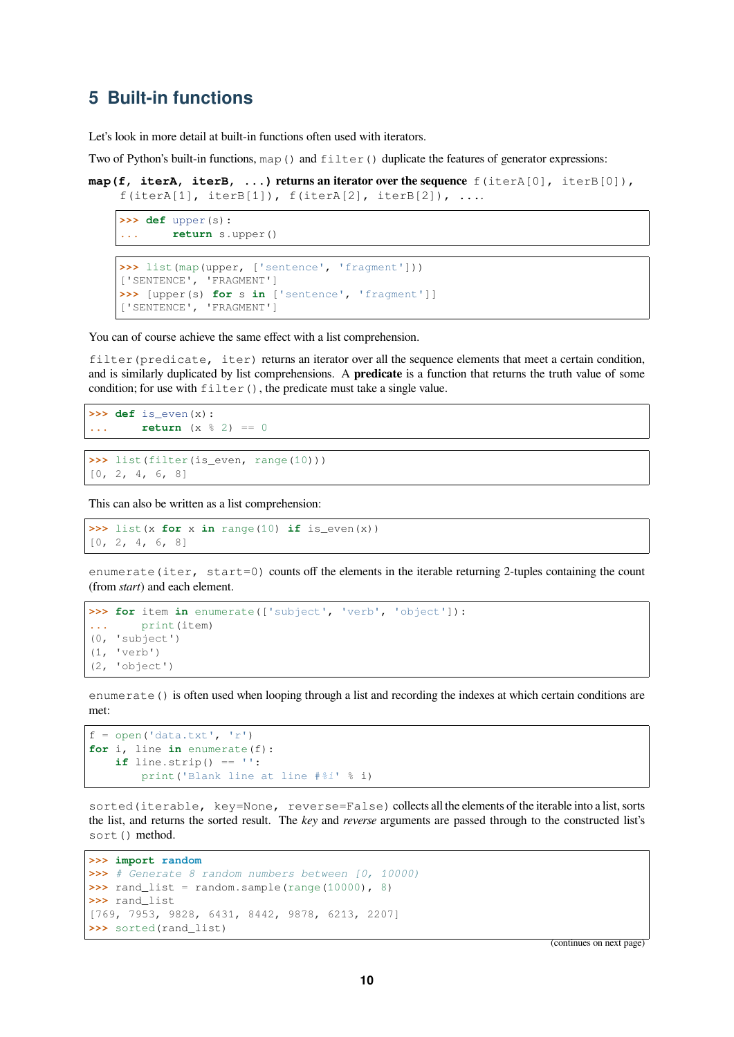# <span id="page-9-0"></span>**5 Built-in functions**

Let's look in more detail at built-in functions often used with iterators.

Two of Python's built-in functions,  $map()$  and  $filter()$  duplicate the features of generator expressions:

```
map(f, iterA, iterB, ...) returns an iterator over the sequence f(iterA[0], iterB[0]),
    f(iterA[1], iterB[1]), f(iterA[2], iterB[2]), ...
```

```
>>> def upper(s):
... return s.upper()
```

```
>>> list(map(upper, ['sentence', 'fragment']))
['SENTENCE', 'FRAGMENT']
>>> [upper(s) for s in ['sentence', 'fragment']]
['SENTENCE', 'FRAGMENT']
```
You can of course achieve the same effect with a list comprehension.

filter (predicate, iter) returns an iterator over all the sequence elements that meet a certain condition, and is similarly duplicated by list comprehensions. A **predicate** is a function that returns the truth value of some condition; for use with  $filter()$ , the predicate must take a single value.

```
>>> def is even(x):
... return (x % 2) == 0
```

```
>>> list(filter(is_even, range(10)))
[0, 2, 4, 6, 8]
```
This can also be written as a list comprehension:

```
>>> list(x for x in range(10) if is_even(x))
[0, 2, 4, 6, 8]
```
enumerate(iter, start=0) counts off the elements in the iterable returning 2-tuples containing the count (from *start*) and each element.

```
>>> for item in enumerate(['subject', 'verb', 'object']):
... print(item)
(0, 'subject')
(1, 'verb')
(2, 'object')
```
enumerate() is often used when looping through a list and recording the indexes at which certain conditions are met:

```
f = open('data.txt', 'r')for i, line in enumerate(f):
   if line.strip() == '':
        print('Blank line at line #%i' % i)
```
sorted(iterable, key=None, reverse=False) collects all the elements of the iterable into a list, sorts the list, and returns the sorted result. The *key* and *reverse* arguments are passed through to the constructed list's sort() method.

```
>>> import random
>>> # Generate 8 random numbers between [0, 10000)
>>> rand_list = random.sample(range(10000), 8)
>>> rand_list
[769, 7953, 9828, 6431, 8442, 9878, 6213, 2207]
>>> sorted(rand_list)
```
(continues on next page)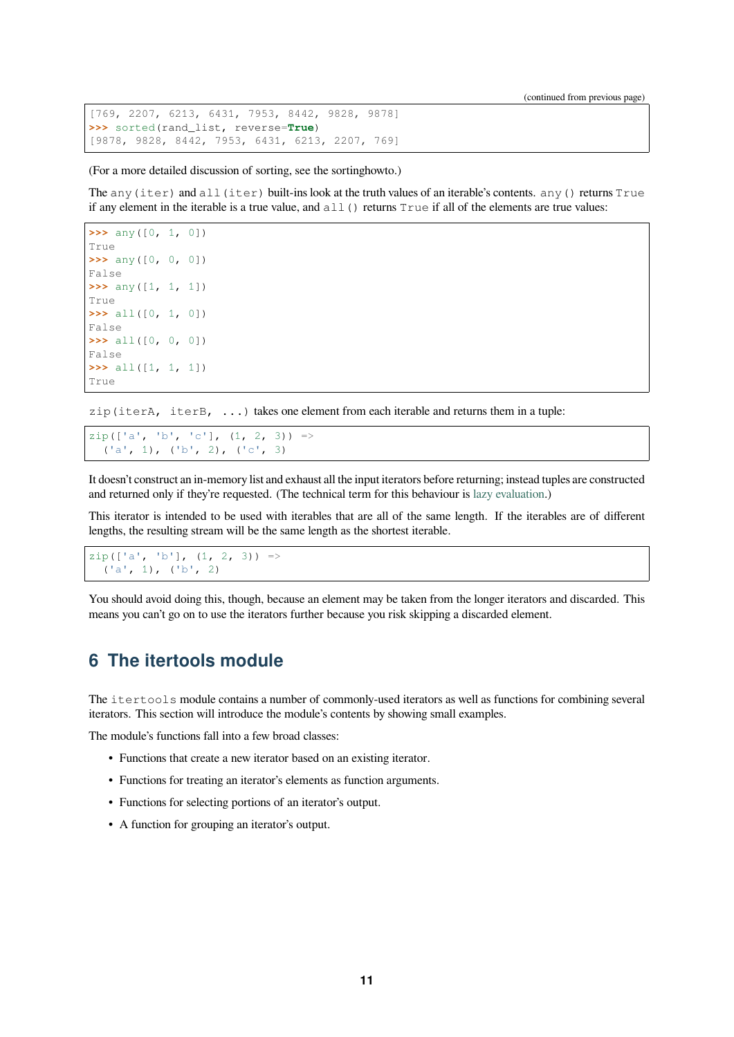```
[769, 2207, 6213, 6431, 7953, 8442, 9828, 9878]
>>> sorted(rand_list, reverse=True)
[9878, 9828, 8442, 7953, 6431, 6213, 2207, 769]
```
(For a more detailed discussion of sorting, see the sortinghowto.)

The any (iter) and all (iter) built-ins look at the truth values of an iterable's contents. any () returns True if any element in the iterable is a true value, and  $all()$  returns  $True$  if all of the elements are true values:

```
>>> any([0, 1, 0])
True
>>> any([0, 0, 0])
False
>>> any([1, 1, 1])
True
>>> all([0, 1, 0])
False
>>> all([0, 0, 0])
False
>>> all([1, 1, 1])
True
```
zip(iterA, iterB, ...) takes one element from each iterable and returns them in a tuple:

 $zip([ 'a', 'b', 'c'], (1, 2, 3)) =>$ ('a', 1), ('b', 2), ('c', 3)

It doesn't construct an in-memory list and exhaust all the input iterators before returning; instead tuples are constructed and returned only if they're requested. (The technical term for this behaviour is lazy evaluation.)

This iterator is intended to be used with iterables that are all of the same length. If the iterables are of different lengths, the resulting stream will be the same length as the shortest iterable.

```
zip([ 'a', 'b'], (1, 2, 3)) =>('a', 1), ('b', 2)
```
You should avoid doing this, though, because an element may be taken from the longer iterators and discarded. This means you can't go on to use the iterators further because you risk skipping a discarded element.

# **6 The itertools module**

<span id="page-10-0"></span>The itertools module contains a number of commonly-used iterators as well as functions for combining several iterators. This section will introduce the module's contents by showing small examples.

The module's functions fall into a few broad classes:

- Functions that create a new iterator based on an existing iterator.
- Functions for treating an iterator's elements as function arguments.
- Functions for selecting portions of an iterator's output.
- A function for grouping an iterator's output.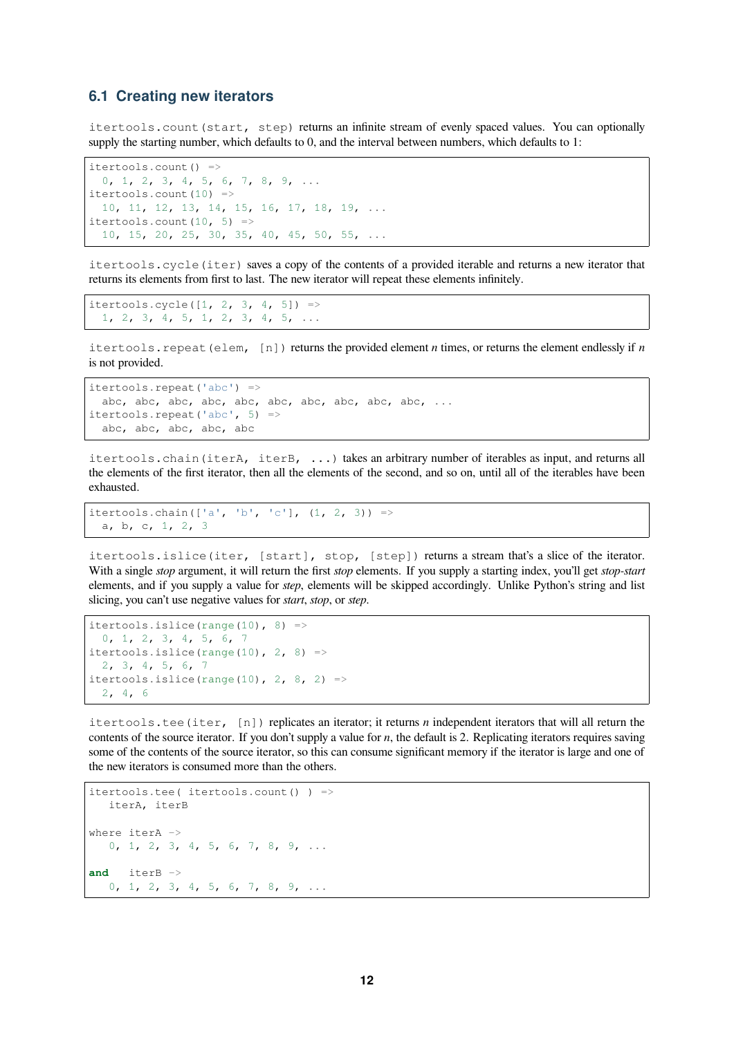#### <span id="page-11-0"></span>**6.1 Creating new iterators**

itertools.count(start, step) returns an infinite stream of evenly spaced values. You can optionally supply the starting number, which defaults to 0, and the interval between numbers, which defaults to 1:

```
itertools.count() =>
 0, 1, 2, 3, 4, 5, 6, 7, 8, 9, ...
itertools.count(10) =>
 10, 11, 12, 13, 14, 15, 16, 17, 18, 19, ...
itertools.count(10, 5) =>
 10, 15, 20, 25, 30, 35, 40, 45, 50, 55, ...
```
itertools.cycle(iter) saves a copy of the contents of a provided iterable and returns a new iterator that returns its elements from first to last. The new iterator will repeat these elements infinitely.

```
itertools.cycle([1, 2, 3, 4, 5]) =>
 1, 2, 3, 4, 5, 1, 2, 3, 4, 5, ...
```
itertools.repeat(elem, [n]) returns the provided element *n* times, or returns the element endlessly if *n* is not provided.

```
itertools.repeat('abc') =>
 abc, abc, abc, abc, abc, abc, abc, abc, abc, abc, ...
itertools.repeat('abc', 5) =>
 abc, abc, abc, abc, abc
```
itertools.chain(iterA, iterB, ...) takes an arbitrary number of iterables as input, and returns all the elements of the first iterator, then all the elements of the second, and so on, until all of the iterables have been exhausted.

```
itertools.chain([ 'a', 'b', 'c'], (1, 2, 3)) =>
 a, b, c, 1, 2, 3
```
itertools.islice(iter, [start], stop, [step]) returns a stream that's a slice of the iterator. With a single *stop* argument, it will return the first *stop* elements. If you supply a starting index, you'll get *stop-start* elements, and if you supply a value for *step*, elements will be skipped accordingly. Unlike Python's string and list slicing, you can't use negative values for *start*, *stop*, or *step*.

```
itertools.islice(range(10), 8) =>
 0, 1, 2, 3, 4, 5, 6, 7
itertools.islice(range(10), 2, 8) =>
 2, 3, 4, 5, 6, 7
itertools.islice(range(10), 2, 8, 2) =>
 2, 4, 6
```
itertools.tee(iter, [n]) replicates an iterator; it returns *n* independent iterators that will all return the contents of the source iterator. If you don't supply a value for *n*, the default is 2. Replicating iterators requires saving some of the contents of the source iterator, so this can consume significant memory if the iterator is large and one of the new iterators is consumed more than the others.

```
itertools.tee( itertools.count() ) =>
  iterA, iterB
where iterA ->
  0, 1, 2, 3, 4, 5, 6, 7, 8, 9, ...
and iterB ->
  0, 1, 2, 3, 4, 5, 6, 7, 8, 9, ...
```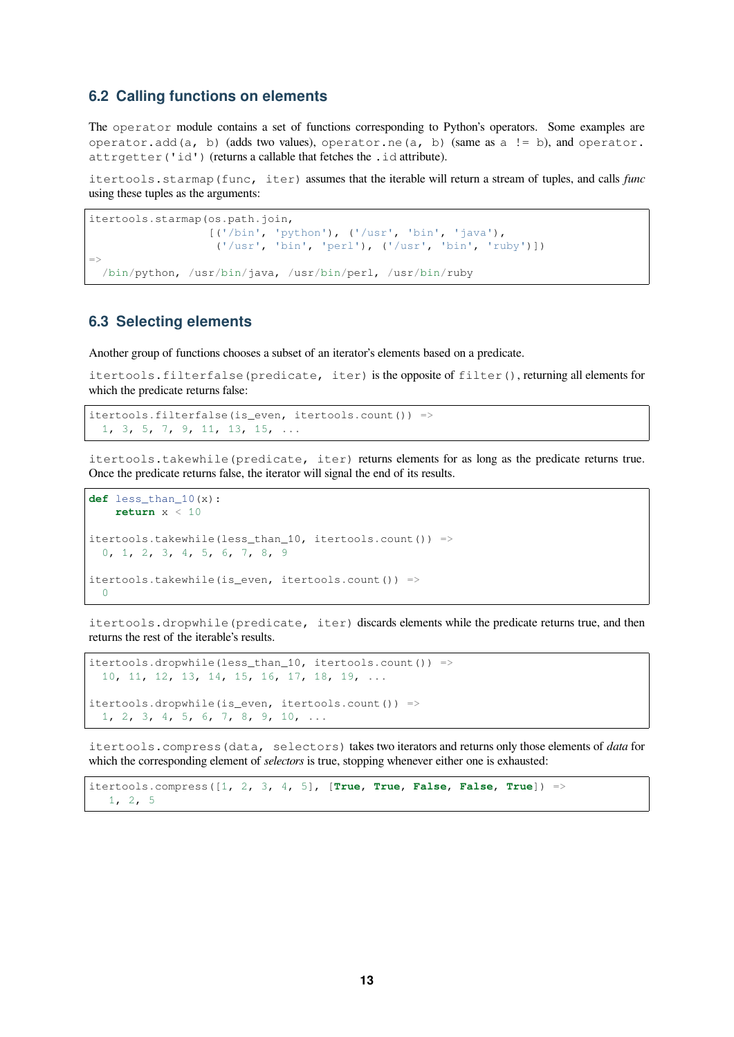#### <span id="page-12-0"></span>**6.2 Calling functions on elements**

The operator module contains a set of functions corresponding to Python's operators. Some examples are operator.add(a, b) (adds two values), operator.ne(a, b) (same as a != b), and operator. attrgetter('id') (returns a callable that fetches the .id attribute).

itertools.starmap(func, iter) assumes that the iterable will return a stream of tuples, and calls *func* using these tuples as the arguments:

```
itertools.starmap(os.path.join,
                  [('/bin', 'python'), ('/usr', 'bin', 'java'),
                    ('/usr', 'bin', 'perl'), ('/usr', 'bin', 'ruby')])
\Rightarrow/bin/python, /usr/bin/java, /usr/bin/perl, /usr/bin/ruby
```
#### <span id="page-12-1"></span>**6.3 Selecting elements**

Another group of functions chooses a subset of an iterator's elements based on a predicate.

itertools.filterfalse(predicate, iter) is the opposite of filter(), returning all elements for which the predicate returns false:

```
itertools.filterfalse(is_even, itertools.count()) =>
 1, 3, 5, 7, 9, 11, 13, 15, ...
```
itertools.takewhile(predicate, iter) returns elements for as long as the predicate returns true. Once the predicate returns false, the iterator will signal the end of its results.

```
def less_than_10(x):
   return x < 10itertools.takewhile(less_than_10, itertools.count()) =>
 0, 1, 2, 3, 4, 5, 6, 7, 8, 9
itertools.takewhile(is_even, itertools.count()) =>
  0
```
itertools.dropwhile(predicate, iter) discards elements while the predicate returns true, and then returns the rest of the iterable's results.

```
itertools.dropwhile(less_than_10, itertools.count()) =>
 10, 11, 12, 13, 14, 15, 16, 17, 18, 19, ...
itertools.dropwhile(is_even, itertools.count()) =>
 1, 2, 3, 4, 5, 6, 7, 8, 9, 10, ...
```
itertools.compress(data, selectors) takes two iterators and returns only those elements of *data* for which the corresponding element of *selectors* is true, stopping whenever either one is exhausted:

itertools.compress([1, 2, 3, 4, 5], [**True**, **True**, **False**, **False**, **True**]) => 1, 2, 5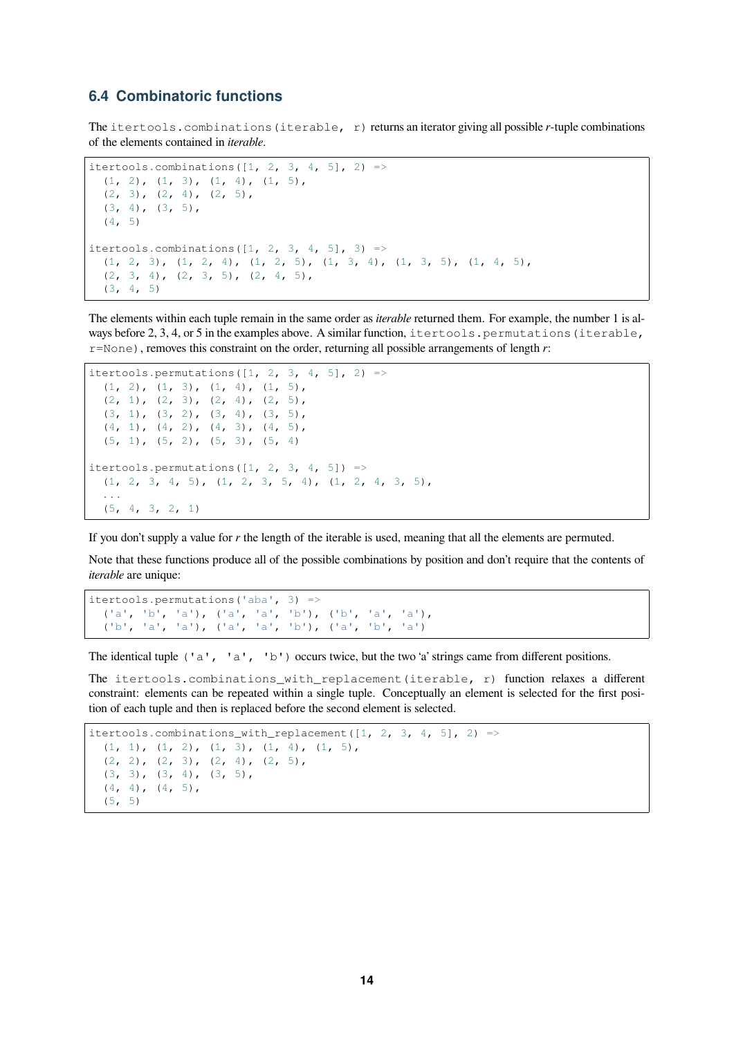#### <span id="page-13-0"></span>**6.4 Combinatoric functions**

The itertools.combinations(iterable, r) returns an iterator giving all possible *r*-tuple combinations of the elements contained in *iterable*.

```
itertools.combinations([1, 2, 3, 4, 5], 2) =>
  (1, 2), (1, 3), (1, 4), (1, 5),(2, 3), (2, 4), (2, 5),(3, 4), (3, 5),(4, 5)itertools.combinations([1, 2, 3, 4, 5], 3) =>
  (1, 2, 3), (1, 2, 4), (1, 2, 5), (1, 3, 4), (1, 3, 5), (1, 4, 5),
  (2, 3, 4), (2, 3, 5), (2, 4, 5),
  (3, 4, 5)
```
The elements within each tuple remain in the same order as *iterable* returned them. For example, the number 1 is always before 2, 3, 4, or 5 in the examples above. A similar function, itertools.permutations (iterable, r=None), removes this constraint on the order, returning all possible arrangements of length *r*:

```
itertools.permutations([1, 2, 3, 4, 5], 2) =>
  (1, 2), (1, 3), (1, 4), (1, 5),(2, 1), (2, 3), (2, 4), (2, 5)(3, 1), (3, 2), (3, 4), (3, 5)(4, 1), (4, 2), (4, 3), (4, 5)(5, 1), (5, 2), (5, 3), (5, 4)itertools.permutations([1, 2, 3, 4, 5]) =>
  (1, 2, 3, 4, 5), (1, 2, 3, 5, 4), (1, 2, 4, 3, 5),...
  (5, 4, 3, 2, 1)
```
If you don't supply a value for *r* the length of the iterable is used, meaning that all the elements are permuted.

Note that these functions produce all of the possible combinations by position and don't require that the contents of *iterable* are unique:

```
itertools.permutations('aba', 3) =>
  ('a', 'b', 'a'), ('a', 'a', 'b'), ('b', 'a', 'a'),
  ('b', 'a', 'a'), ('a', 'a', 'b'), ('a', 'b', 'a')
```
The identical tuple ('a', 'a', 'b') occurs twice, but the two 'a' strings came from different positions.

The itertools.combinations\_with\_replacement(iterable, r) function relaxes a different constraint: elements can be repeated within a single tuple. Conceptually an element is selected for the first position of each tuple and then is replaced before the second element is selected.

```
itertools.combinations_with_replacement([1, 2, 3, 4, 5], 2) =>
  (1, 1), (1, 2), (1, 3), (1, 4), (1, 5),(2, 2), (2, 3), (2, 4), (2, 5),(3, 3), (3, 4), (3, 5),
  (4, 4), (4, 5),(5, 5)
```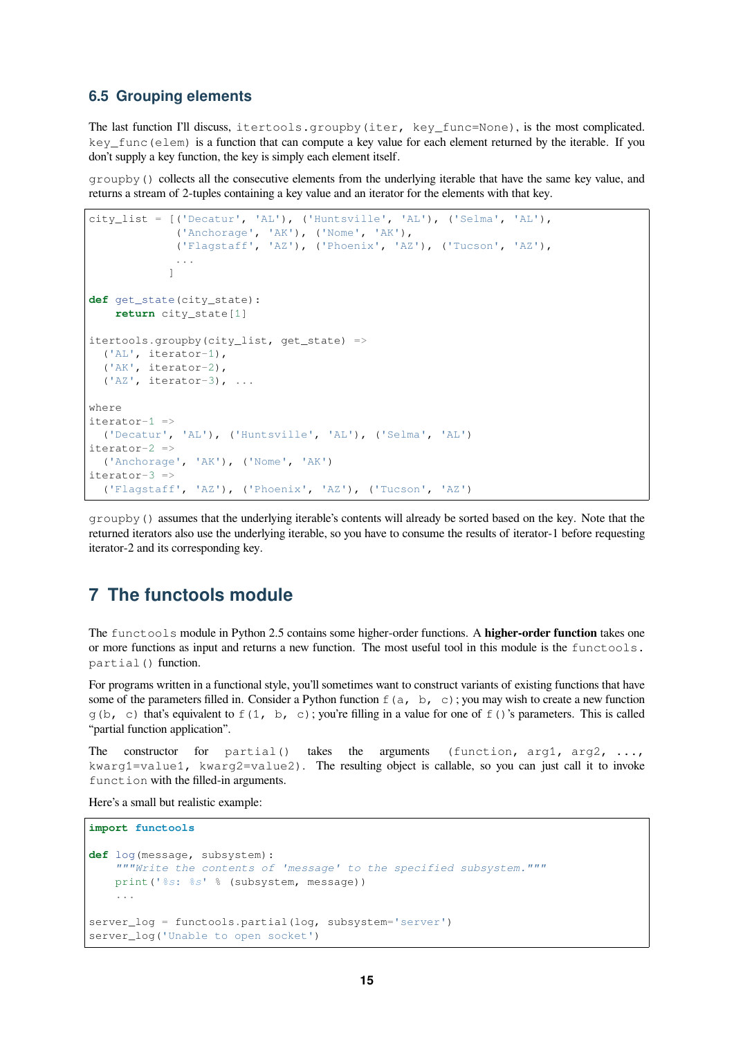#### <span id="page-14-0"></span>**6.5 Grouping elements**

The last function I'll discuss, itertools.groupby(iter, key\_func=None), is the most complicated. key\_func(elem) is a function that can compute a key value for each element returned by the iterable. If you don't supply a key function, the key is simply each element itself.

groupby() collects all the consecutive elements from the underlying iterable that have the same key value, and returns a stream of 2-tuples containing a key value and an iterator for the elements with that key.

```
city_list = [('Decatur', 'AL'), ('Huntsville', 'AL'), ('Selma', 'AL'),
             ('Anchorage', 'AK'), ('Nome', 'AK'),
             ('Flagstaff', 'AZ'), ('Phoenix', 'AZ'), ('Tucson', 'AZ'),
             ...
            ]
def get_state(city_state):
   return city_state[1]
itertools.groupby(city_list, get_state) =>
  ('AL', iterator-1),
  ('AK', iterator-2),
  ('AZ', iterator-3), ...
where
iterator-1 =>
  ('Decatur', 'AL'), ('Huntsville', 'AL'), ('Selma', 'AL')
iterator-2 =>
  ('Anchorage', 'AK'), ('Nome', 'AK')
iterator-3 =>
  ('Flagstaff', 'AZ'), ('Phoenix', 'AZ'), ('Tucson', 'AZ')
```
groupby() assumes that the underlying iterable's contents will already be sorted based on the key. Note that the returned iterators also use the underlying iterable, so you have to consume the results of iterator-1 before requesting iterator-2 and its corresponding key.

# <span id="page-14-1"></span>**7 The functools module**

The functools module in Python 2.5 contains some higher-order functions. A **higher-order function** takes one or more functions as input and returns a new function. The most useful tool in this module is the functools. partial() function.

For programs written in a functional style, you'll sometimes want to construct variants of existing functions that have some of the parameters filled in. Consider a Python function  $f(a, b, c)$ ; you may wish to create a new function  $g(b, c)$  that's equivalent to  $f(1, b, c)$ ; you're filling in a value for one of  $f($ )'s parameters. This is called "partial function application".

The constructor for partial() takes the arguments (function,  $\arg 1$ ,  $\arg 2$ , ..., kwarg1=value1, kwarg2=value2). The resulting object is callable, so you can just call it to invoke function with the filled-in arguments.

Here's a small but realistic example:

```
import functools
def log(message, subsystem):
    """Write the contents of 'message' to the specified subsystem."""
   print('%s: %s' % (subsystem, message))
    ...
server_log = functools.partial(log, subsystem='server')
server_log('Unable to open socket')
```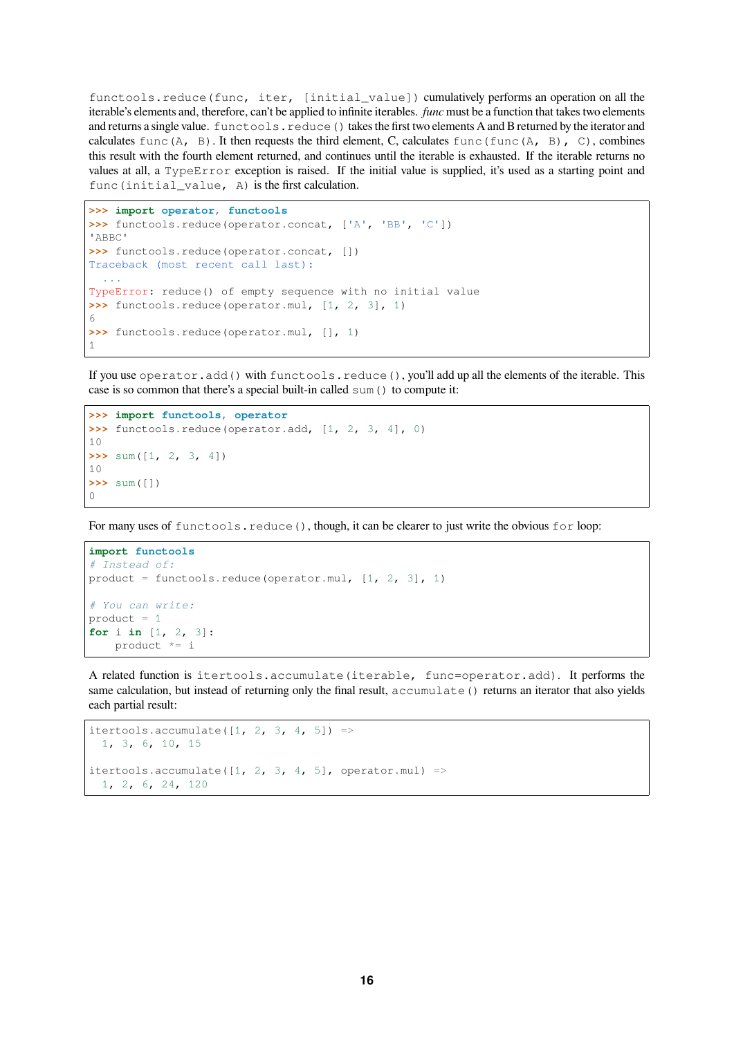functools.reduce(func, iter, [initial\_value]) cumulatively performs an operation on all the iterable's elements and, therefore, can't be applied to infinite iterables. *func* must be a function that takes two elements and returns a single value. functools.reduce() takes the first two elements A and B returned by the iterator and calculates func(A, B). It then requests the third element, C, calculates func(func(A, B), C), combines this result with the fourth element returned, and continues until the iterable is exhausted. If the iterable returns no values at all, a TypeError exception is raised. If the initial value is supplied, it's used as a starting point and func(initial\_value, A) is the first calculation.

```
>>> import operator, functools
>>> functools.reduce(operator.concat, ['A', 'BB', 'C'])
'ABBC'
>>> functools.reduce(operator.concat, [])
Traceback (most recent call last):
  ...
TypeError: reduce() of empty sequence with no initial value
>>> functools.reduce(operator.mul, [1, 2, 3], 1)
6
>>> functools.reduce(operator.mul, [], 1)
1
```
If you use operator.add() with functools.reduce(), you'll add up all the elements of the iterable. This case is so common that there's a special built-in called sum() to compute it:

```
>>> import functools, operator
>>> functools.reduce(operator.add, [1, 2, 3, 4], 0)
10
>>> sum([1, 2, 3, 4])
10
>>> sum([])
\bigcap
```
For many uses of functools.reduce(), though, it can be clearer to just write the obvious for loop:

```
import functools
# Instead of:
product = functools.reduce(operator.mul, [1, 2, 3], 1)
# You can write:
product = 1for i in [1, 2, 3]:
   product *= i
```
A related function is itertools.accumulate(iterable, func=operator.add). It performs the same calculation, but instead of returning only the final result, accumulate () returns an iterator that also yields each partial result:

```
itertools.accumulate([1, 2, 3, 4, 5]) =>
 1, 3, 6, 10, 15
itertools.accumulate([1, 2, 3, 4, 5], operator.mul) =>
 1, 2, 6, 24, 120
```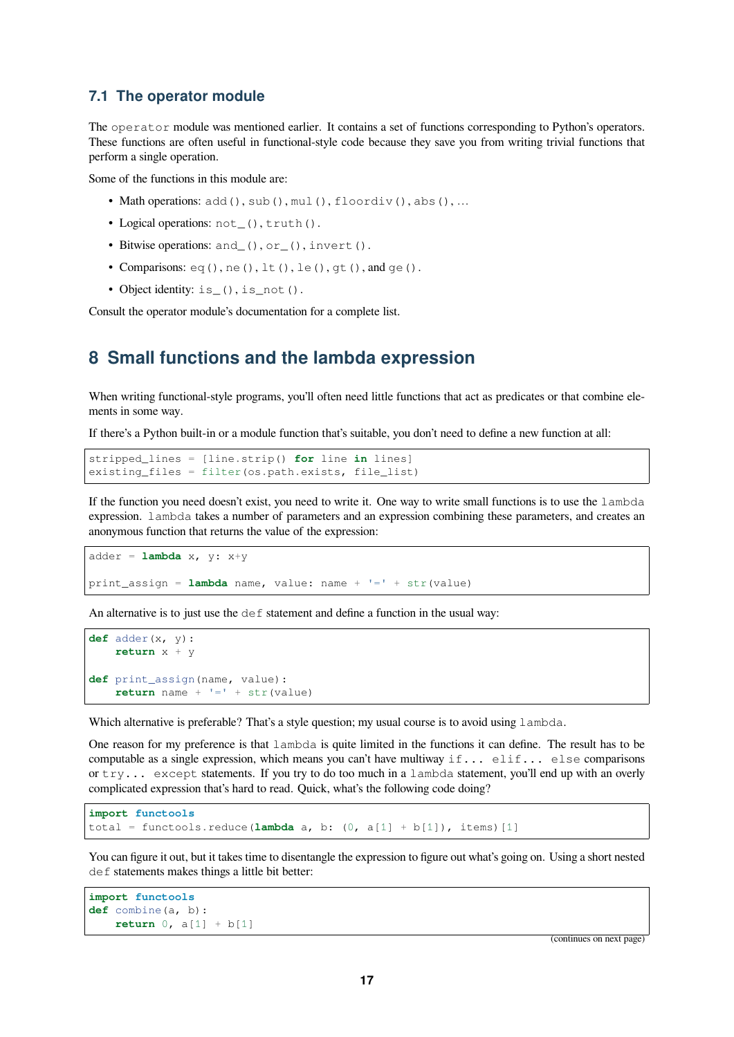#### <span id="page-16-0"></span>**7.1 The operator module**

The operator module was mentioned earlier. It contains a set of functions corresponding to Python's operators. These functions are often useful in functional-style code because they save you from writing trivial functions that perform a single operation.

Some of the functions in this module are:

- Math operations:  $add()$ ,  $sub()$ ,  $mul()$ ,  $floordiv()$ ,  $abs()$ , ...
- Logical operations: not (), truth().
- Bitwise operations: and (), or (), invert().
- Comparisons:  $eq(), ne(), lt(), le(), qt(), and  $qe()$ .$
- Object identity: is\_(), is\_not().

Consult the operator module's documentation for a complete list.

# <span id="page-16-1"></span>**8 Small functions and the lambda expression**

When writing functional-style programs, you'll often need little functions that act as predicates or that combine elements in some way.

If there's a Python built-in or a module function that's suitable, you don't need to define a new function at all:

```
stripped_lines = [line.strip() for line in lines]
existing_files = filter(os.path.exists, file_list)
```
If the function you need doesn't exist, you need to write it. One way to write small functions is to use the lambda expression. lambda takes a number of parameters and an expression combining these parameters, and creates an anonymous function that returns the value of the expression:

```
adder = lambda x, y: x+y
print_assign = lambda name, value: name + '=' + str(value)
```
An alternative is to just use the def statement and define a function in the usual way:

```
def adder(x, y):
   return x + y
def print_assign(name, value):
    return name + !=' + str(value)
```
Which alternative is preferable? That's a style question; my usual course is to avoid using lambda.

One reason for my preference is that lambda is quite limited in the functions it can define. The result has to be computable as a single expression, which means you can't have multiway  $if...$  elif... else comparisons or try... except statements. If you try to do too much in a lambda statement, you'll end up with an overly complicated expression that's hard to read. Quick, what's the following code doing?

```
import functools
total = functools.reduce(lambda a, b: (0, a[1] + b[1]), items)[1]
```
You can figure it out, but it takes time to disentangle the expression to figure out what's going on. Using a short nested def statements makes things a little bit better:

```
import functools
def combine(a, b):
   return 0, a[1] + b[1]
```
(continues on next page)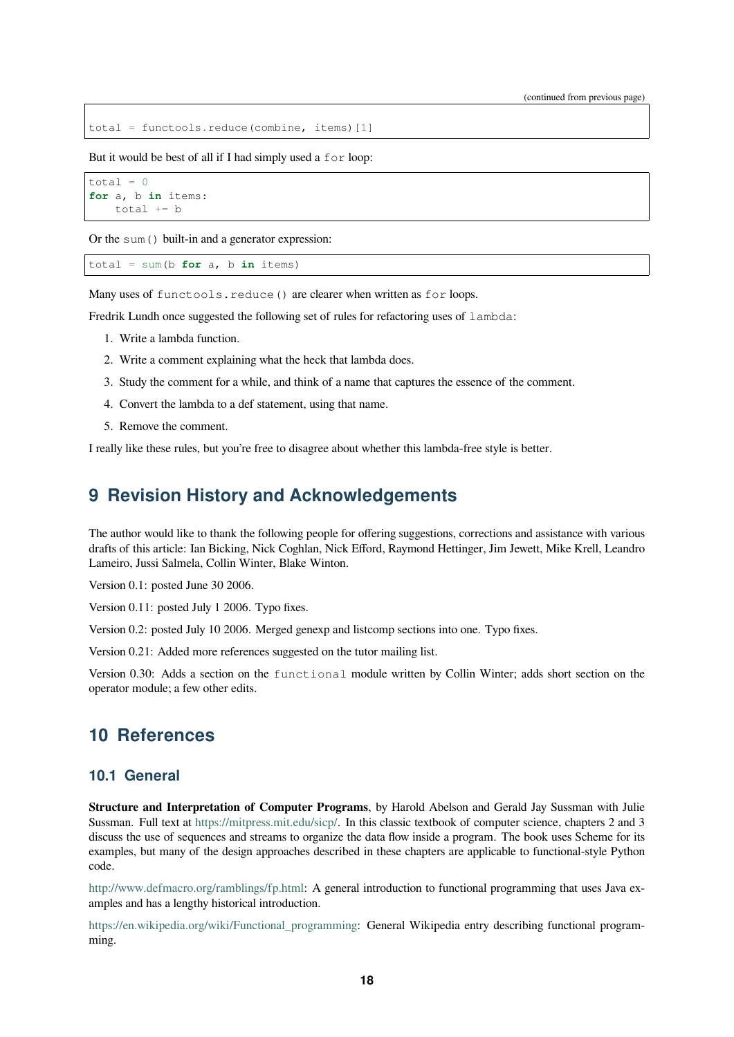total = functools.reduce(combine, items)[1]

But it would be best of all if I had simply used a for loop:

```
total = 0for a, b in items:
    total += b
```
Or the sum() built-in and a generator expression:

 $total = sum(b for a, b in items)$ 

Many uses of functools.reduce() are clearer when written as for loops.

Fredrik Lundh once suggested the following set of rules for refactoring uses of lambda:

- 1. Write a lambda function.
- 2. Write a comment explaining what the heck that lambda does.
- 3. Study the comment for a while, and think of a name that captures the essence of the comment.
- 4. Convert the lambda to a def statement, using that name.
- 5. Remove the comment.

I really like these rules, but you're free to disagree about whether this lambda-free style is better.

# **9 Revision History and Acknowledgements**

<span id="page-17-0"></span>The author would like to thank the following people for offering suggestions, corrections and assistance with various drafts of this article: Ian Bicking, Nick Coghlan, Nick Efford, Raymond Hettinger, Jim Jewett, Mike Krell, Leandro Lameiro, Jussi Salmela, Collin Winter, Blake Winton.

Version 0.1: posted June 30 2006.

Version 0.11: posted July 1 2006. Typo fixes.

Version 0.2: posted July 10 2006. Merged genexp and listcomp sections into one. Typo fixes.

Version 0.21: Added more references suggested on the tutor mailing list.

Version 0.30: Adds a section on the functional module written by Collin Winter; adds short section on the operator module; a few other edits.

## **10 References**

#### <span id="page-17-1"></span>**10.1 General**

<span id="page-17-2"></span>**Structure and Interpretation of Computer Programs**, by Harold Abelson and Gerald Jay Sussman with Julie Sussman. Full text at https://mitpress.mit.edu/sicp/. In this classic textbook of computer science, chapters 2 and 3 discuss the use of sequences and streams to organize the data flow inside a program. The book uses Scheme for its examples, but many of the design approaches described in these chapters are applicable to functional-style Python code.

http://www.defmacro[.org/ramblings/fp.html: A gen](https://mitpress.mit.edu/sicp/)eral introduction to functional programming that uses Java examples and has a lengthy historical introduction.

https://en.wikipedia.org/wiki/Functional\_programming: General Wikipedia entry describing functional program[ming.](http://www.defmacro.org/ramblings/fp.html)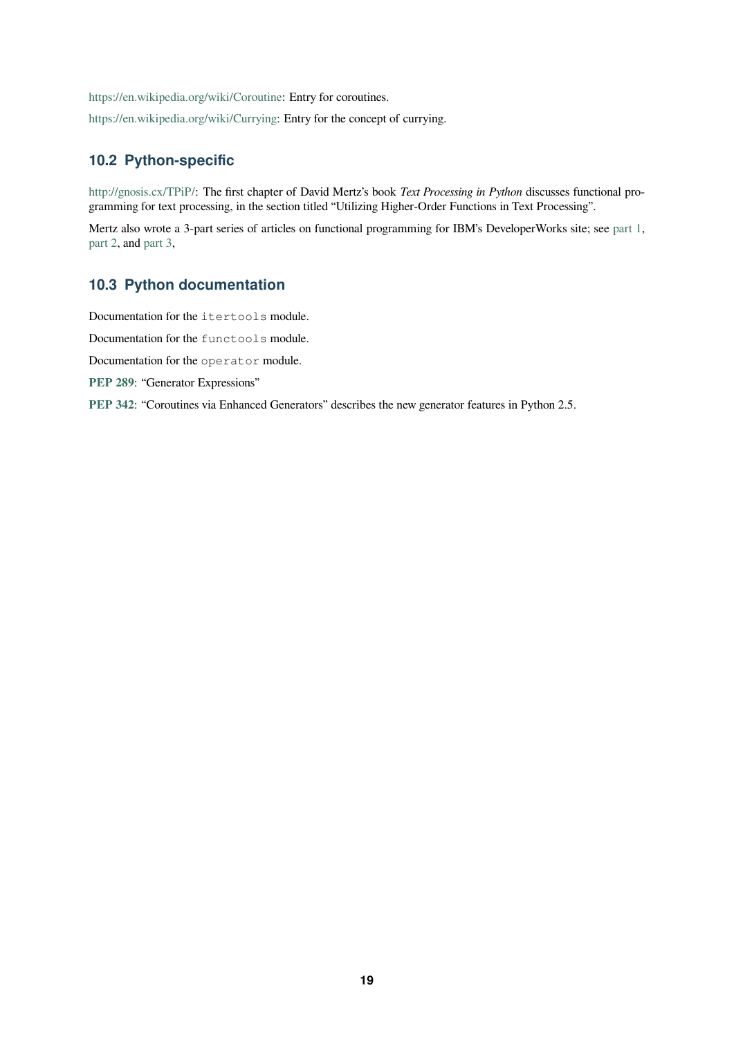https://en.wikipedia.org/wiki/Coroutine: Entry for coroutines.

https://en.wikipedia.org/wiki/Currying: Entry for the concept of currying.

### **10.2 [Python-specific](https://en.wikipedia.org/wiki/Coroutine)**

[http://gnosis.cx/TPiP/: The first chapte](https://en.wikipedia.org/wiki/Currying)r of David Mertz's book *Text Processing in Python* discusses functional programming for text processing, in the section titled "Utilizing Higher-Order Functions in Text Processing".

Mertz also wrote a 3-part series of articles on functional programming for IBM's DeveloperWorks site; see part 1, [part 2, and](http://gnosis.cx/TPiP/) part 3,

### **10.3 Python documentation**

[Docum](https://developer.ibm.com/tutorials/l-prog2/)ent[ation fo](https://developer.ibm.com/tutorials/l-prog3/)r the itertools module.

Documentation for the functools module.

Documentation for the operator module.

**PEP 289**: "Generator Expressions"

**PEP 342**: "Coroutines via Enhanced Generators" describes the new generator features in Python 2.5.